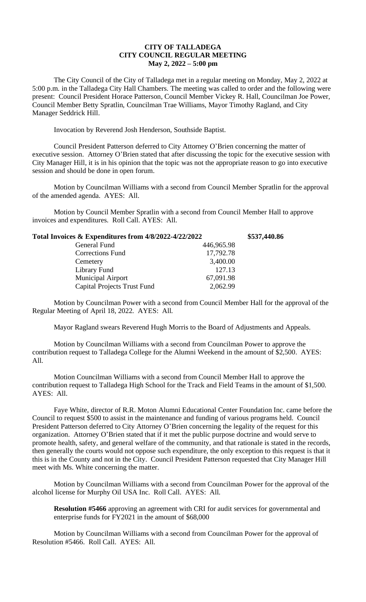## **CITY OF TALLADEGA CITY COUNCIL REGULAR MEETING May 2, 2022 – 5:00 pm**

The City Council of the City of Talladega met in a regular meeting on Monday, May 2, 2022 at 5:00 p.m. in the Talladega City Hall Chambers. The meeting was called to order and the following were present: Council President Horace Patterson, Council Member Vickey R. Hall, Councilman Joe Power, Council Member Betty Spratlin, Councilman Trae Williams, Mayor Timothy Ragland, and City Manager Seddrick Hill.

Invocation by Reverend Josh Henderson, Southside Baptist.

Council President Patterson deferred to City Attorney O'Brien concerning the matter of executive session. Attorney O'Brien stated that after discussing the topic for the executive session with City Manager Hill, it is in his opinion that the topic was not the appropriate reason to go into executive session and should be done in open forum.

Motion by Councilman Williams with a second from Council Member Spratlin for the approval of the amended agenda. AYES: All.

Motion by Council Member Spratlin with a second from Council Member Hall to approve invoices and expenditures. Roll Call. AYES: All.

| Total Invoices & Expenditures from 4/8/2022-4/22/2022 |            | \$537,440.86 |
|-------------------------------------------------------|------------|--------------|
| General Fund                                          | 446,965.98 |              |
| <b>Corrections Fund</b>                               | 17,792.78  |              |
| Cemetery                                              | 3,400.00   |              |
| Library Fund                                          | 127.13     |              |
| <b>Municipal Airport</b>                              | 67,091.98  |              |
| <b>Capital Projects Trust Fund</b>                    | 2,062.99   |              |
|                                                       |            |              |

Motion by Councilman Power with a second from Council Member Hall for the approval of the Regular Meeting of April 18, 2022. AYES: All.

Mayor Ragland swears Reverend Hugh Morris to the Board of Adjustments and Appeals.

Motion by Councilman Williams with a second from Councilman Power to approve the contribution request to Talladega College for the Alumni Weekend in the amount of \$2,500. AYES: All.

Motion Councilman Williams with a second from Council Member Hall to approve the contribution request to Talladega High School for the Track and Field Teams in the amount of \$1,500. AYES: All.

Faye White, director of R.R. Moton Alumni Educational Center Foundation Inc. came before the Council to request \$500 to assist in the maintenance and funding of various programs held. Council President Patterson deferred to City Attorney O'Brien concerning the legality of the request for this organization. Attorney O'Brien stated that if it met the public purpose doctrine and would serve to promote health, safety, and general welfare of the community, and that rationale is stated in the records, then generally the courts would not oppose such expenditure, the only exception to this request is that it this is in the County and not in the City. Council President Patterson requested that City Manager Hill meet with Ms. White concerning the matter.

Motion by Councilman Williams with a second from Councilman Power for the approval of the alcohol license for Murphy Oil USA Inc. Roll Call. AYES: All.

**Resolution #5466** approving an agreement with CRI for audit services for governmental and enterprise funds for FY2021 in the amount of \$68,000

Motion by Councilman Williams with a second from Councilman Power for the approval of Resolution #5466. Roll Call. AYES: All.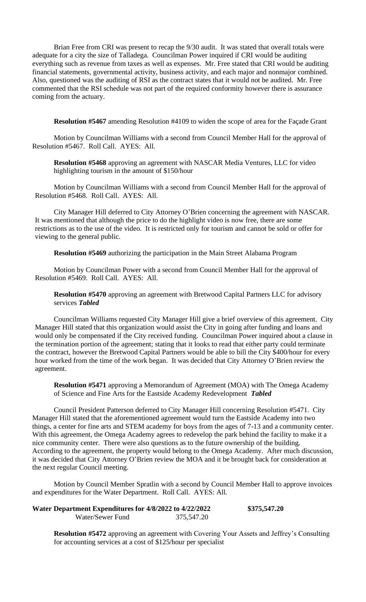Brian Free from CRI was present to recap the 9/30 audit. It was stated that overall totals were adequate for a city the size of Talladega. Councilman Power inquired if CRI would be auditing everything such as revenue from taxes as well as expenses. Mr. Free stated that CRI would be auditing financial statements, governmental activity, business activity, and each major and nonmajor combined. Also, questioned was the auditing of RSI as the contract states that it would not be audited. Mr. Free commented that the RSI schedule was not part of the required conformity however there is assurance coming from the actuary.

**Resolution #5467** amending Resolution #4109 to widen the scope of area for the Façade Grant

Motion by Councilman Williams with a second from Council Member Hall for the approval of Resolution #5467. Roll Call. AYES: All.

**Resolution #5468** approving an agreement with NASCAR Media Ventures, LLC for video highlighting tourism in the amount of \$150/hour

Motion by Councilman Williams with a second from Council Member Hall for the approval of Resolution #5468. Roll Call. AYES: All.

City Manager Hill deferred to City Attorney O'Brien concerning the agreement with NASCAR. It was mentioned that although the price to do the highlight video is now free, there are some restrictions as to the use of the video. It is restricted only for tourism and cannot be sold or offer for viewing to the general public.

**Resolution #5469** authorizing the participation in the Main Street Alabama Program

Motion by Councilman Power with a second from Council Member Hall for the approval of Resolution #5469. Roll Call. AYES: All.

**Resolution #5470** approving an agreement with Bretwood Capital Partners LLC for advisory services *Tabled*

Councilman Williams requested City Manager Hill give a brief overview of this agreement. City Manager Hill stated that this organization would assist the City in going after funding and loans and would only be compensated if the City received funding. Councilman Power inquired about a clause in the termination portion of the agreement; stating that it looks to read that either party could terminate the contract, however the Bretwood Capital Partners would be able to bill the City \$400/hour for every hour worked from the time of the work began. It was decided that City Attorney O'Brien review the agreement.

**Resolution #5471** approving a Memorandum of Agreement (MOA) with The Omega Academy of Science and Fine Arts for the Eastside Academy Redevelopment *Tabled* 

Council President Patterson deferred to City Manager Hill concerning Resolution #5471. City Manager Hill stated that the aforementioned agreement would turn the Eastside Academy into two things, a center for fine arts and STEM academy for boys from the ages of 7-13 and a community center. With this agreement, the Omega Academy agrees to redevelop the park behind the facility to make it a nice community center. There were also questions as to the future ownership of the building. According to the agreement, the property would belong to the Omega Academy. After much discussion, it was decided that City Attorney O'Brien review the MOA and it be brought back for consideration at the next regular Council meeting.

Motion by Council Member Spratlin with a second by Council Member Hall to approve invoices and expenditures for the Water Department. Roll Call. AYES: All.

| Water Department Expenditures for 4/8/2022 to 4/22/2022 |            | \$375,547.20 |
|---------------------------------------------------------|------------|--------------|
| Water/Sewer Fund                                        | 375,547.20 |              |

**Resolution #5472** approving an agreement with Covering Your Assets and Jeffrey's Consulting for accounting services at a cost of \$125/hour per specialist